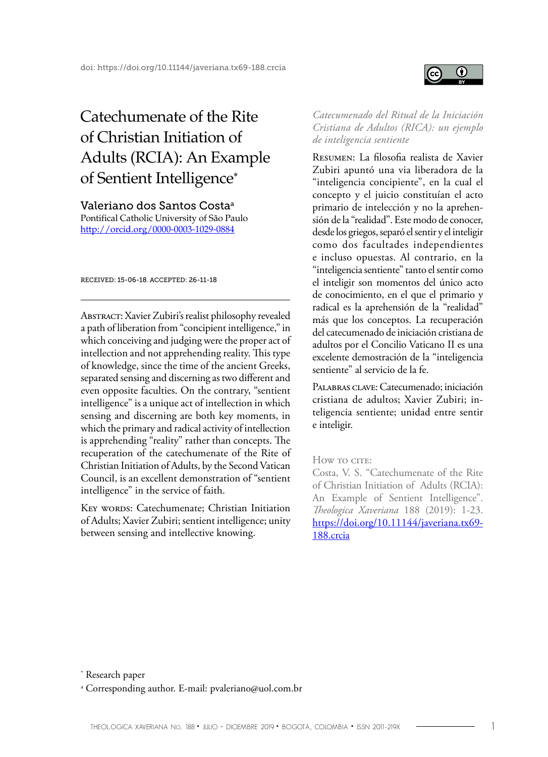# Catechumenate of the Rite of Christian Initiation of Adults (RCIA): An Example of Sentient Intelligence<sup>∗</sup>

Valeriano dos Santos Costaa Pontifical Catholic University of São Paulo [http://](http://orcid.org/0000-0003-1029-0884)orcid.org/0000-0003-1029-0884

received: 15-06-18. accepted: 26-11-18

Abstract: Xavier Zubiri's realist philosophy revealed a path of liberation from "concipient intelligence," in which conceiving and judging were the proper act of intellection and not apprehending reality. This type of knowledge, since the time of the ancient Greeks, separated sensing and discerning as two different and even opposite faculties. On the contrary, "sentient intelligence" is a unique act of intellection in which sensing and discerning are both key moments, in which the primary and radical activity of intellection is apprehending "reality" rather than concepts. The recuperation of the catechumenate of the Rite of Christian Initiation of Adults, by the Second Vatican Council, is an excellent demonstration of "sentient intelligence" in the service of faith.

KEY WORDS: Catechumenate; Christian Initiation of Adults; Xavier Zubiri; sentient intelligence; unity between sensing and intellective knowing.

*Catecumenado del Ritual de la Iniciación Cristiana de Adultos (RICA): un ejemplo de inteligencia sentiente*

 $\bf{0}$ 

Resumen: La filosofia realista de Xavier Zubiri apuntó una via liberadora de la "inteligencia concipiente", en la cual el concepto y el juicio constituían el acto primario de intelección y no la aprehensión de la "realidad". Este modo de conocer, desde los griegos, separó el sentir y el inteligir como dos facultades independientes e incluso opuestas. Al contrario, en la "inteligencia sentiente" tanto el sentir como el inteligir son momentos del único acto de conocimiento, en el que el primario y radical es la aprehensión de la "realidad" más que los conceptos. La recuperación del catecumenado de iniciación cristiana de adultos por el Concilio Vaticano II es una excelente demostración de la "inteligencia sentiente" al servicio de la fe.

Palabras clave: Catecumenado; iniciación cristiana de adultos; Xavier Zubiri; inteligencia sentiente; unidad entre sentir e inteligir.

#### How to cite:

Costa, V. S. "Catechumenate of the Rite of Christian Initiation of Adults (RCIA): An Example of Sentient Intelligence". *Theologica Xaveriana* 188 (2019): 1-23. [https://doi.org/10.11144/javeriana.tx69-](https://doi.org/10.11144/javeriana.tx69-188.crcia) [188.crcia](https://doi.org/10.11144/javeriana.tx69-188.crcia)

\* Research paper

a Corresponding author. E-mail: pvaleriano@uol.com.br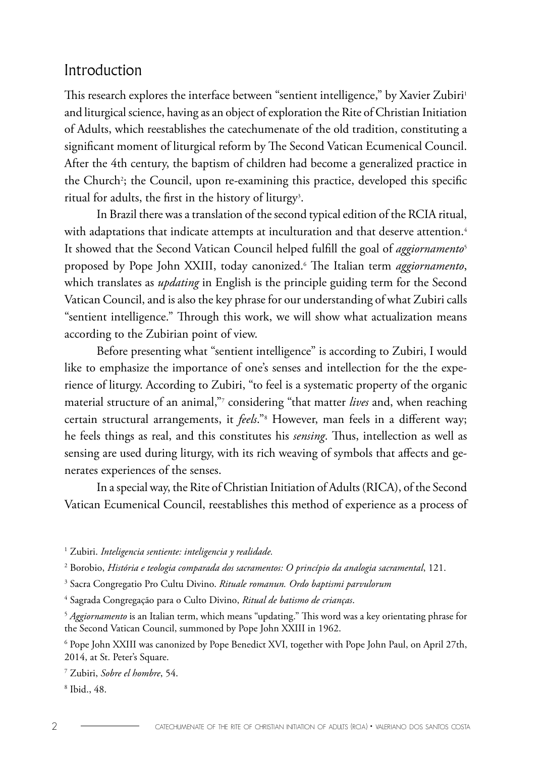#### Introduction

This research explores the interface between "sentient intelligence," by Xavier Zubiri<sup>1</sup> and liturgical science, having as an object of exploration the Rite of Christian Initiation of Adults, which reestablishes the catechumenate of the old tradition, constituting a significant moment of liturgical reform by The Second Vatican Ecumenical Council. After the 4th century, the baptism of children had become a generalized practice in the Church?; the Council, upon re-examining this practice, developed this specific ritual for adults, the first in the history of liturgy<sup>3</sup>.

In Brazil there was a translation of the second typical edition of the RCIA ritual, with adaptations that indicate attempts at inculturation and that deserve attention.<sup>4</sup> It showed that the Second Vatican Council helped fulfill the goal of *aggiornamento*<sup>5</sup> proposed by Pope John XXIII, today canonized.6 The Italian term *aggiornamento*, which translates as *updating* in English is the principle guiding term for the Second Vatican Council, and is also the key phrase for our understanding of what Zubiri calls "sentient intelligence." Through this work, we will show what actualization means according to the Zubirian point of view.

Before presenting what "sentient intelligence" is according to Zubiri, I would like to emphasize the importance of one's senses and intellection for the the experience of liturgy. According to Zubiri, "to feel is a systematic property of the organic material structure of an animal,"7 considering "that matter *lives* and, when reaching certain structural arrangements, it *feels*."8 However, man feels in a different way; he feels things as real, and this constitutes his *sensing*. Thus, intellection as well as sensing are used during liturgy, with its rich weaving of symbols that affects and generates experiences of the senses.

In a special way, the Rite of Christian Initiation of Adults (RICA), of the Second Vatican Ecumenical Council, reestablishes this method of experience as a process of

1 Zubiri. *Inteligencia sentiente: inteligencia y realidade.*

4 Sagrada Congregação para o Culto Divino, *Ritual de batismo de crianças*.

6 Pope John XXIII was canonized by Pope Benedict XVI, together with Pope John Paul, on April 27th, 2014, at St. Peter's Square.

7 Zubiri, *Sobre el hombre*, 54.

8 Ibid., 48.

<sup>2</sup> Borobio, *História e teologia comparada dos sacramentos: O princípio da analogia sacramental*, 121.

<sup>3</sup> Sacra Congregatio Pro Cultu Divino. *Rituale romanun. Ordo baptismi parvulorum* 

<sup>5</sup> *Aggiornamento* is an Italian term, which means "updating." This word was a key orientating phrase for the Second Vatican Council, summoned by Pope John XXIII in 1962.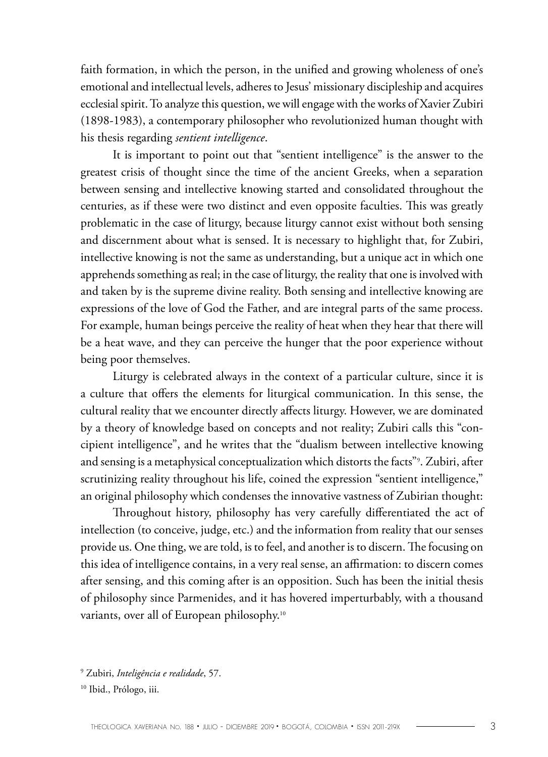faith formation, in which the person, in the unified and growing wholeness of one's emotional and intellectual levels, adheres to Jesus' missionary discipleship and acquires ecclesial spirit. To analyze this question, we will engage with the works of Xavier Zubiri (1898-1983), a contemporary philosopher who revolutionized human thought with his thesis regarding *sentient intelligence*.

It is important to point out that "sentient intelligence" is the answer to the greatest crisis of thought since the time of the ancient Greeks, when a separation between sensing and intellective knowing started and consolidated throughout the centuries, as if these were two distinct and even opposite faculties. This was greatly problematic in the case of liturgy, because liturgy cannot exist without both sensing and discernment about what is sensed. It is necessary to highlight that, for Zubiri, intellective knowing is not the same as understanding, but a unique act in which one apprehends something as real; in the case of liturgy, the reality that one is involved with and taken by is the supreme divine reality. Both sensing and intellective knowing are expressions of the love of God the Father, and are integral parts of the same process. For example, human beings perceive the reality of heat when they hear that there will be a heat wave, and they can perceive the hunger that the poor experience without being poor themselves.

Liturgy is celebrated always in the context of a particular culture, since it is a culture that offers the elements for liturgical communication. In this sense, the cultural reality that we encounter directly affects liturgy. However, we are dominated by a theory of knowledge based on concepts and not reality; Zubiri calls this "concipient intelligence", and he writes that the "dualism between intellective knowing and sensing is a metaphysical conceptualization which distorts the facts"9 . Zubiri, after scrutinizing reality throughout his life, coined the expression "sentient intelligence," an original philosophy which condenses the innovative vastness of Zubirian thought:

Throughout history, philosophy has very carefully differentiated the act of intellection (to conceive, judge, etc.) and the information from reality that our senses provide us. One thing, we are told, is to feel, and another is to discern. The focusing on this idea of intelligence contains, in a very real sense, an affirmation: to discern comes after sensing, and this coming after is an opposition. Such has been the initial thesis of philosophy since Parmenides, and it has hovered imperturbably, with a thousand variants, over all of European philosophy.10

<sup>9</sup> Zubiri, *Inteligência e realidade*, 57.

<sup>&</sup>lt;sup>10</sup> Ibid., Prólogo, iii.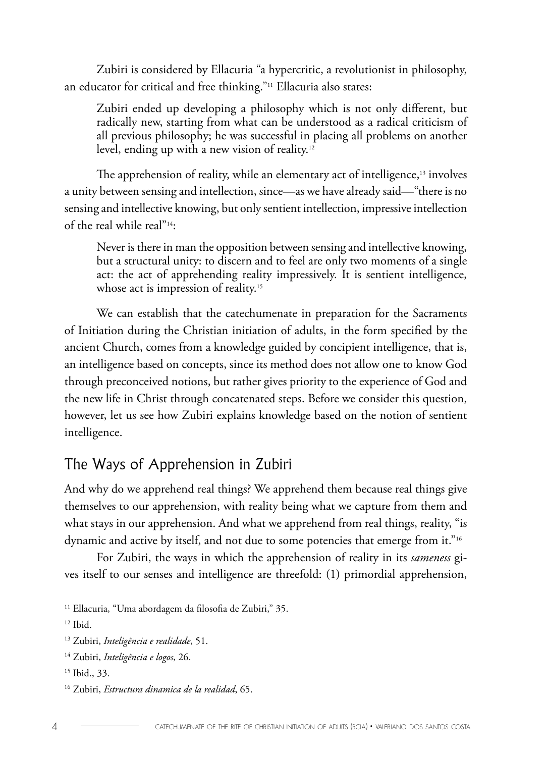Zubiri is considered by Ellacuria "a hypercritic, a revolutionist in philosophy, an educator for critical and free thinking."11 Ellacuria also states:

Zubiri ended up developing a philosophy which is not only different, but radically new, starting from what can be understood as a radical criticism of all previous philosophy; he was successful in placing all problems on another level, ending up with a new vision of reality.<sup>12</sup>

The apprehension of reality, while an elementary act of intelligence,<sup>13</sup> involves a unity between sensing and intellection, since—as we have already said—"there is no sensing and intellective knowing, but only sentient intellection, impressive intellection of the real while real"14:

Never is there in man the opposition between sensing and intellective knowing, but a structural unity: to discern and to feel are only two moments of a single act: the act of apprehending reality impressively. It is sentient intelligence, whose act is impression of reality.<sup>15</sup>

We can establish that the catechumenate in preparation for the Sacraments of Initiation during the Christian initiation of adults, in the form specified by the ancient Church, comes from a knowledge guided by concipient intelligence, that is, an intelligence based on concepts, since its method does not allow one to know God through preconceived notions, but rather gives priority to the experience of God and the new life in Christ through concatenated steps. Before we consider this question, however, let us see how Zubiri explains knowledge based on the notion of sentient intelligence.

### The Ways of Apprehension in Zubiri

And why do we apprehend real things? We apprehend them because real things give themselves to our apprehension, with reality being what we capture from them and what stays in our apprehension. And what we apprehend from real things, reality, "is dynamic and active by itself, and not due to some potencies that emerge from it."<sup>16</sup>

For Zubiri, the ways in which the apprehension of reality in its *sameness* gives itself to our senses and intelligence are threefold: (1) primordial apprehension,

<sup>12</sup> Ibid.

<sup>&</sup>lt;sup>11</sup> Ellacuria, "Uma abordagem da filosofia de Zubiri," 35.

<sup>13</sup> Zubiri, *Inteligência e realidade*, 51.

<sup>14</sup> Zubiri, *Inteligência e logos*, 26.

<sup>15</sup> Ibid., 33.

<sup>16</sup> Zubiri, *Estructura dinamica de la realidad*, 65.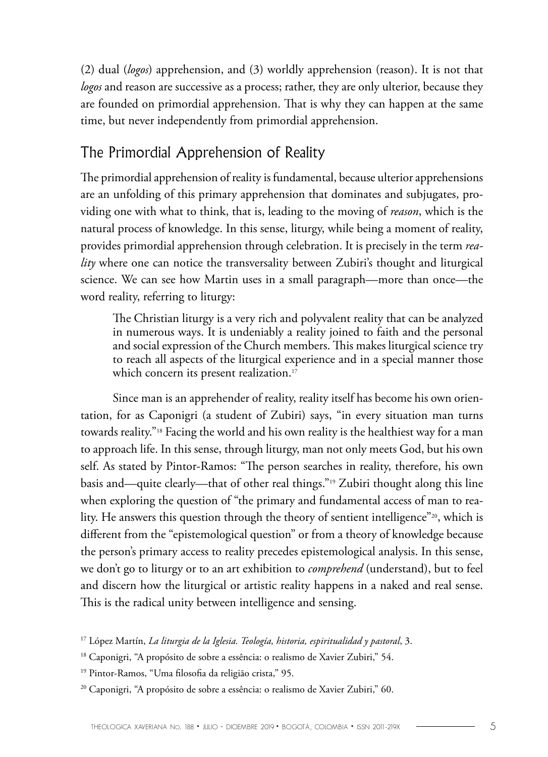(2) dual (*logos*) apprehension, and (3) worldly apprehension (reason). It is not that *logos* and reason are successive as a process; rather, they are only ulterior, because they are founded on primordial apprehension. That is why they can happen at the same time, but never independently from primordial apprehension.

# The Primordial Apprehension of Reality

The primordial apprehension of reality is fundamental, because ulterior apprehensions are an unfolding of this primary apprehension that dominates and subjugates, providing one with what to think, that is, leading to the moving of *reason*, which is the natural process of knowledge. In this sense, liturgy, while being a moment of reality, provides primordial apprehension through celebration. It is precisely in the term *reality* where one can notice the transversality between Zubiri's thought and liturgical science. We can see how Martin uses in a small paragraph—more than once—the word reality, referring to liturgy:

The Christian liturgy is a very rich and polyvalent reality that can be analyzed in numerous ways. It is undeniably a reality joined to faith and the personal and social expression of the Church members. This makes liturgical science try to reach all aspects of the liturgical experience and in a special manner those which concern its present realization.<sup>17</sup>

Since man is an apprehender of reality, reality itself has become his own orientation, for as Caponigri (a student of Zubiri) says, "in every situation man turns towards reality."18 Facing the world and his own reality is the healthiest way for a man to approach life. In this sense, through liturgy, man not only meets God, but his own self. As stated by Pintor-Ramos: "The person searches in reality, therefore, his own basis and—quite clearly—that of other real things."19 Zubiri thought along this line when exploring the question of "the primary and fundamental access of man to reality. He answers this question through the theory of sentient intelligence"20, which is different from the "epistemological question" or from a theory of knowledge because the person's primary access to reality precedes epistemological analysis. In this sense, we don't go to liturgy or to an art exhibition to *comprehend* (understand), but to feel and discern how the liturgical or artistic reality happens in a naked and real sense. This is the radical unity between intelligence and sensing.

<sup>19</sup> Pintor-Ramos, "Uma filosofia da religião crista," 95.

<sup>17</sup> López Martín, *La liturgia de la Iglesia. Teología, historia, espiritualidad y pastoral*, 3.

<sup>&</sup>lt;sup>18</sup> Caponigri, "A propósito de sobre a essência: o realismo de Xavier Zubiri," 54.

<sup>&</sup>lt;sup>20</sup> Caponigri, "A propósito de sobre a essência: o realismo de Xavier Zubiri," 60.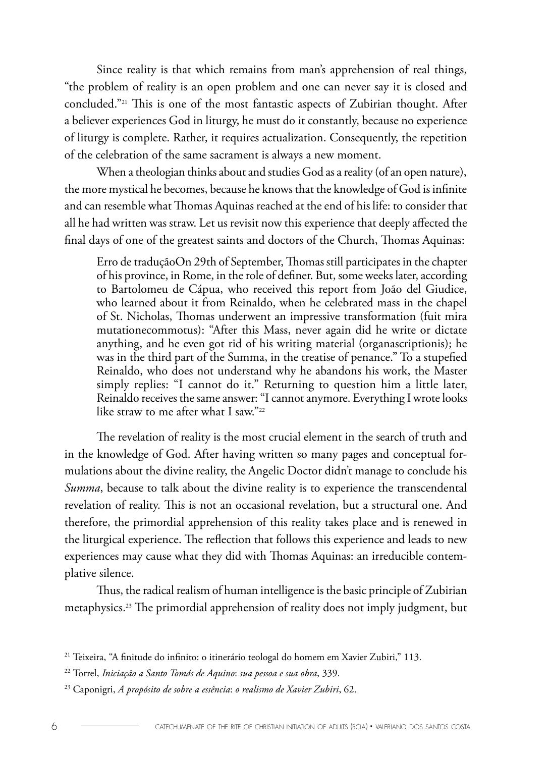Since reality is that which remains from man's apprehension of real things, "the problem of reality is an open problem and one can never say it is closed and concluded."21 This is one of the most fantastic aspects of Zubirian thought. After a believer experiences God in liturgy, he must do it constantly, because no experience of liturgy is complete. Rather, it requires actualization. Consequently, the repetition of the celebration of the same sacrament is always a new moment.

When a theologian thinks about and studies God as a reality (of an open nature), the more mystical he becomes, because he knows that the knowledge of God is infinite and can resemble what Thomas Aquinas reached at the end of his life: to consider that all he had written was straw. Let us revisit now this experience that deeply affected the final days of one of the greatest saints and doctors of the Church, Thomas Aquinas:

Erro de traduçãoOn 29th of September, Thomas still participates in the chapter of his province, in Rome, in the role of definer. But, some weeks later, according to Bartolomeu de Cápua, who received this report from João del Giudice, who learned about it from Reinaldo, when he celebrated mass in the chapel of St. Nicholas, Thomas underwent an impressive transformation (fuit mira mutationecommotus): "After this Mass, never again did he write or dictate anything, and he even got rid of his writing material (organascriptionis); he was in the third part of the Summa, in the treatise of penance." To a stupefied Reinaldo, who does not understand why he abandons his work, the Master simply replies: "I cannot do it." Returning to question him a little later, Reinaldo receives the same answer: "I cannot anymore. Everything I wrote looks like straw to me after what I saw."<sup>22</sup>

The revelation of reality is the most crucial element in the search of truth and in the knowledge of God. After having written so many pages and conceptual formulations about the divine reality, the Angelic Doctor didn't manage to conclude his *Summa*, because to talk about the divine reality is to experience the transcendental revelation of reality. This is not an occasional revelation, but a structural one. And therefore, the primordial apprehension of this reality takes place and is renewed in the liturgical experience. The reflection that follows this experience and leads to new experiences may cause what they did with Thomas Aquinas: an irreducible contemplative silence.

Thus, the radical realism of human intelligence is the basic principle of Zubirian metaphysics.23 The primordial apprehension of reality does not imply judgment, but

<sup>21</sup> Teixeira, "A finitude do infinito: o itinerário teologal do homem em Xavier Zubiri," 113.

<sup>22</sup> Torrel, *Iniciação a Santo Tomás de Aquino*: *sua pessoa e sua obra*, 339.

<sup>23</sup> Caponigri, *A propósito de sobre a essência*: *o realismo de Xavier Zubiri*, 62.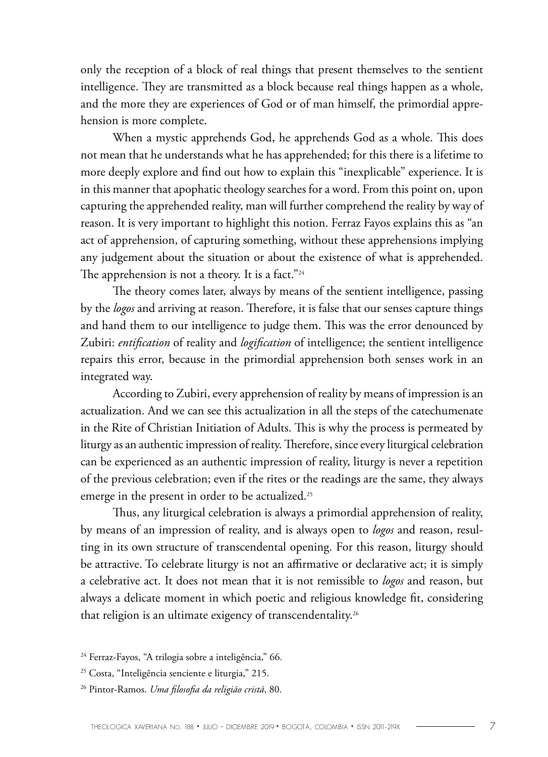only the reception of a block of real things that present themselves to the sentient intelligence. They are transmitted as a block because real things happen as a whole, and the more they are experiences of God or of man himself, the primordial apprehension is more complete.

When a mystic apprehends God, he apprehends God as a whole. This does not mean that he understands what he has apprehended; for this there is a lifetime to more deeply explore and find out how to explain this "inexplicable" experience. It is in this manner that apophatic theology searches for a word. From this point on, upon capturing the apprehended reality, man will further comprehend the reality by way of reason. It is very important to highlight this notion. Ferraz Fayos explains this as "an act of apprehension, of capturing something, without these apprehensions implying any judgement about the situation or about the existence of what is apprehended. The apprehension is not a theory. It is a fact."<sup>24</sup>

The theory comes later, always by means of the sentient intelligence, passing by the *logos* and arriving at reason. Therefore, it is false that our senses capture things and hand them to our intelligence to judge them. This was the error denounced by Zubiri: *entification* of reality and *logification* of intelligence; the sentient intelligence repairs this error, because in the primordial apprehension both senses work in an integrated way.

According to Zubiri, every apprehension of reality by means of impression is an actualization. And we can see this actualization in all the steps of the catechumenate in the Rite of Christian Initiation of Adults. This is why the process is permeated by liturgy as an authentic impression of reality. Therefore, since every liturgical celebration can be experienced as an authentic impression of reality, liturgy is never a repetition of the previous celebration; even if the rites or the readings are the same, they always emerge in the present in order to be actualized.<sup>25</sup>

Thus, any liturgical celebration is always a primordial apprehension of reality, by means of an impression of reality, and is always open to *logos* and reason, resulting in its own structure of transcendental opening. For this reason, liturgy should be attractive. To celebrate liturgy is not an affirmative or declarative act; it is simply a celebrative act. It does not mean that it is not remissible to *logos* and reason, but always a delicate moment in which poetic and religious knowledge fit, considering that religion is an ultimate exigency of transcendentality.26

<sup>&</sup>lt;sup>24</sup> Ferraz-Fayos, "A trilogia sobre a inteligência," 66.

<sup>25</sup> Costa, "Inteligência senciente e liturgia," 215.

<sup>26</sup> Pintor-Ramos. *Uma filosofia da religião cristã*, 80.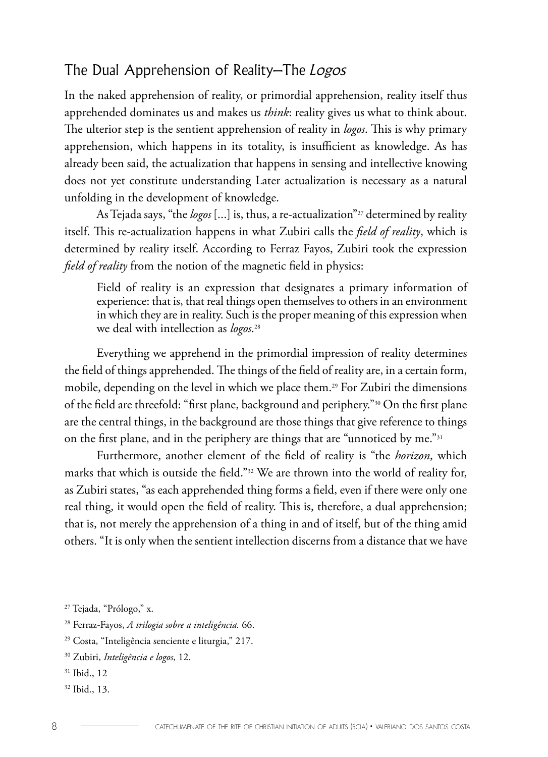#### The Dual Apprehension of Reality–The Logos

In the naked apprehension of reality, or primordial apprehension, reality itself thus apprehended dominates us and makes us *think*: reality gives us what to think about. The ulterior step is the sentient apprehension of reality in *logos*. This is why primary apprehension, which happens in its totality, is insufficient as knowledge. As has already been said, the actualization that happens in sensing and intellective knowing does not yet constitute understanding Later actualization is necessary as a natural unfolding in the development of knowledge.

As Tejada says, "the *logos* [...] is, thus, a re-actualization"<sup>27</sup> determined by reality itself. This re-actualization happens in what Zubiri calls the *field of reality*, which is determined by reality itself. According to Ferraz Fayos, Zubiri took the expression *field of reality* from the notion of the magnetic field in physics:

Field of reality is an expression that designates a primary information of experience: that is, that real things open themselves to others in an environment in which they are in reality. Such is the proper meaning of this expression when we deal with intellection as *logos*. 28

Everything we apprehend in the primordial impression of reality determines the field of things apprehended. The things of the field of reality are, in a certain form, mobile, depending on the level in which we place them.<sup>29</sup> For Zubiri the dimensions of the field are threefold: "first plane, background and periphery."30 On the first plane are the central things, in the background are those things that give reference to things on the first plane, and in the periphery are things that are "unnoticed by me."31

Furthermore, another element of the field of reality is "the *horizon*, which marks that which is outside the field."32 We are thrown into the world of reality for, as Zubiri states, "as each apprehended thing forms a field, even if there were only one real thing, it would open the field of reality. This is, therefore, a dual apprehension; that is, not merely the apprehension of a thing in and of itself, but of the thing amid others. "It is only when the sentient intellection discerns from a distance that we have

- <sup>31</sup> Ibid., 12
- <sup>32</sup> Ibid., 13.

<sup>27</sup> Tejada, "Prólogo," x.

<sup>28</sup> Ferraz-Fayos, *A trilogia sobre a inteligência.* 66.

<sup>29</sup> Costa, "Inteligência senciente e liturgia," 217.

<sup>30</sup> Zubiri, *Inteligência e logos*, 12.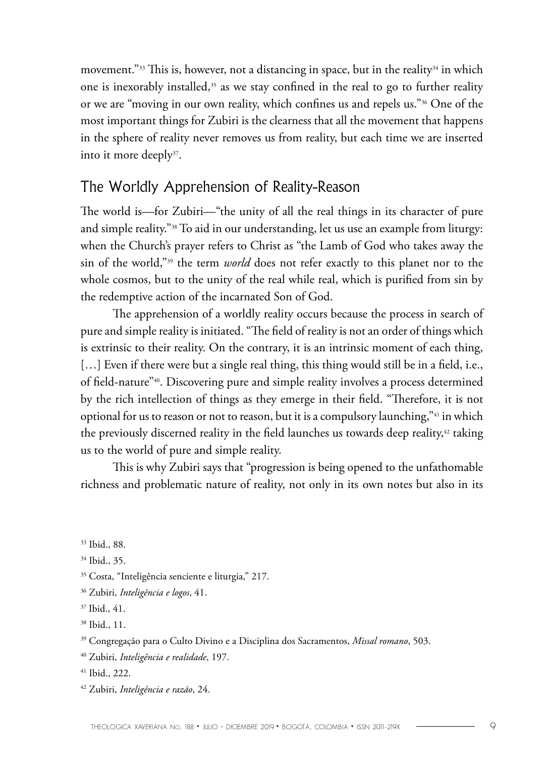movement."<sup>33</sup> This is, however, not a distancing in space, but in the reality<sup>34</sup> in which one is inexorably installed, 35 as we stay confined in the real to go to further reality or we are "moving in our own reality, which confines us and repels us."36 One of the most important things for Zubiri is the clearness that all the movement that happens in the sphere of reality never removes us from reality, but each time we are inserted into it more deeply<sup>37</sup>.

#### The Worldly Apprehension of Reality-Reason

The world is—for Zubiri—"the unity of all the real things in its character of pure and simple reality."38 To aid in our understanding, let us use an example from liturgy: when the Church's prayer refers to Christ as "the Lamb of God who takes away the sin of the world,"39 the term *world* does not refer exactly to this planet nor to the whole cosmos, but to the unity of the real while real, which is purified from sin by the redemptive action of the incarnated Son of God.

The apprehension of a worldly reality occurs because the process in search of pure and simple reality is initiated. "The field of reality is not an order of things which is extrinsic to their reality. On the contrary, it is an intrinsic moment of each thing, [...] Even if there were but a single real thing, this thing would still be in a field, i.e., of field-nature"40. Discovering pure and simple reality involves a process determined by the rich intellection of things as they emerge in their field. "Therefore, it is not optional for us to reason or not to reason, but it is a compulsory launching,"41 in which the previously discerned reality in the field launches us towards deep reality, $42$  taking us to the world of pure and simple reality.

This is why Zubiri says that "progression is being opened to the unfathomable richness and problematic nature of reality, not only in its own notes but also in its

- 41 Ibid., 222.
- 42 Zubiri, *Inteligência e razão*, 24.

<sup>33</sup> Ibid., 88.

<sup>34</sup> Ibid., 35.

<sup>35</sup> Costa, "Inteligência senciente e liturgia," 217.

<sup>36</sup> Zubiri, *Inteligência e logos*, 41.

<sup>37</sup> Ibid., 41.

<sup>38</sup> Ibid., 11.

<sup>39</sup> Congregação para o Culto Divino e a Disciplina dos Sacramentos, *Missal romano*, 503.

<sup>40</sup> Zubiri, *Inteligência e realidade*, 197.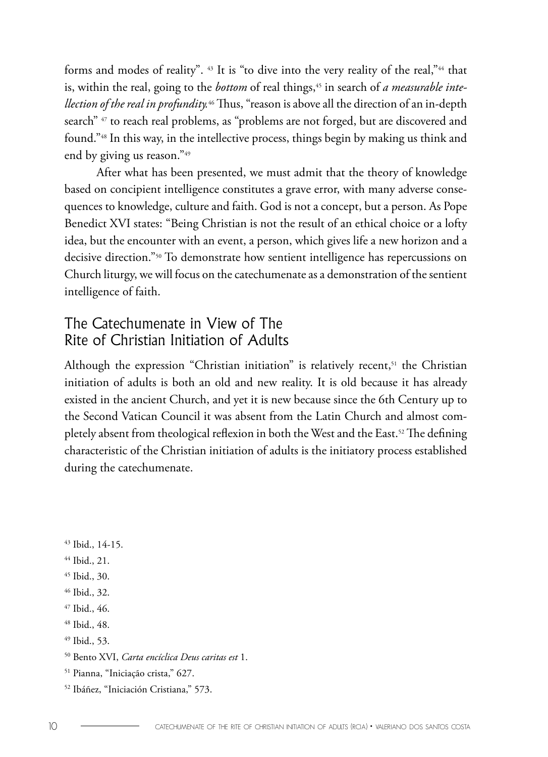forms and modes of reality". 43 It is "to dive into the very reality of the real,"44 that is, within the real, going to the *bottom* of real things,<sup>45</sup> in search of *a measurable intellection of the real in profundity.*46 Thus, "reason is above all the direction of an in-depth search" <sup>47</sup> to reach real problems, as "problems are not forged, but are discovered and found."48 In this way, in the intellective process, things begin by making us think and end by giving us reason."49

After what has been presented, we must admit that the theory of knowledge based on concipient intelligence constitutes a grave error, with many adverse consequences to knowledge, culture and faith. God is not a concept, but a person. As Pope Benedict XVI states: "Being Christian is not the result of an ethical choice or a lofty idea, but the encounter with an event, a person, which gives life a new horizon and a decisive direction."50 To demonstrate how sentient intelligence has repercussions on Church liturgy, we will focus on the catechumenate as a demonstration of the sentient intelligence of faith.

## The Catechumenate in View of The Rite of Christian Initiation of Adults

Although the expression "Christian initiation" is relatively recent, $51$  the Christian initiation of adults is both an old and new reality. It is old because it has already existed in the ancient Church, and yet it is new because since the 6th Century up to the Second Vatican Council it was absent from the Latin Church and almost completely absent from theological reflexion in both the West and the East.<sup>52</sup> The defining characteristic of the Christian initiation of adults is the initiatory process established during the catechumenate.

43 Ibid., 14-15.

- 44 Ibid., 21.
- 45 Ibid., 30.
- 46 Ibid., 32.
- 47 Ibid., 46.
- 48 Ibid., 48.
- 49 Ibid., 53.
- 50 Bento XVI, *Carta encíclica Deus caritas est* 1.
- 51 Pianna, "Iniciação crista," 627.
- 52 Ibáñez, "Iniciación Cristiana," 573.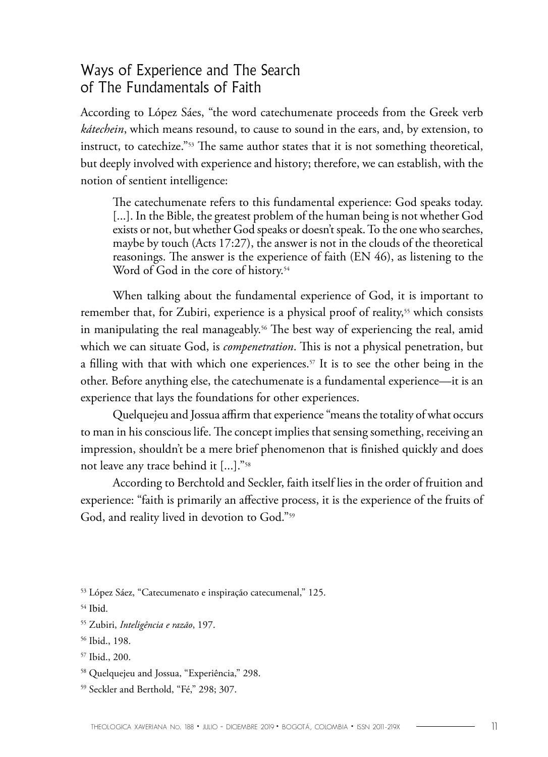#### Ways of Experience and The Search of The Fundamentals of Faith

According to López Sáes, "the word catechumenate proceeds from the Greek verb *kátechein*, which means resound, to cause to sound in the ears, and, by extension, to instruct, to catechize."53 The same author states that it is not something theoretical, but deeply involved with experience and history; therefore, we can establish, with the notion of sentient intelligence:

The catechumenate refers to this fundamental experience: God speaks today. [...]. In the Bible, the greatest problem of the human being is not whether God exists or not, but whether God speaks or doesn't speak. To the one who searches, maybe by touch (Acts 17:27), the answer is not in the clouds of the theoretical reasonings. The answer is the experience of faith (EN 46), as listening to the Word of God in the core of history.<sup>54</sup>

When talking about the fundamental experience of God, it is important to remember that, for Zubiri, experience is a physical proof of reality,<sup>55</sup> which consists in manipulating the real manageably.<sup>56</sup> The best way of experiencing the real, amid which we can situate God, is *compenetration*. This is not a physical penetration, but a filling with that with which one experiences.<sup>57</sup> It is to see the other being in the other. Before anything else, the catechumenate is a fundamental experience—it is an experience that lays the foundations for other experiences.

Quelquejeu and Jossua affirm that experience "means the totality of what occurs to man in his conscious life. The concept implies that sensing something, receiving an impression, shouldn't be a mere brief phenomenon that is finished quickly and does not leave any trace behind it [...]."58

According to Berchtold and Seckler, faith itself lies in the order of fruition and experience: "faith is primarily an affective process, it is the experience of the fruits of God, and reality lived in devotion to God."59

53 López Sáez, "Catecumenato e inspiração catecumenal," 125.

<sup>54</sup> Ibid.

<sup>55</sup> Zubiri, *Inteligência e razão*, 197.

<sup>56</sup> Ibid., 198.

<sup>57</sup> Ibid., 200.

<sup>58</sup> Quelquejeu and Jossua, "Experiência," 298.

<sup>59</sup> Seckler and Berthold, "Fé," 298; 307.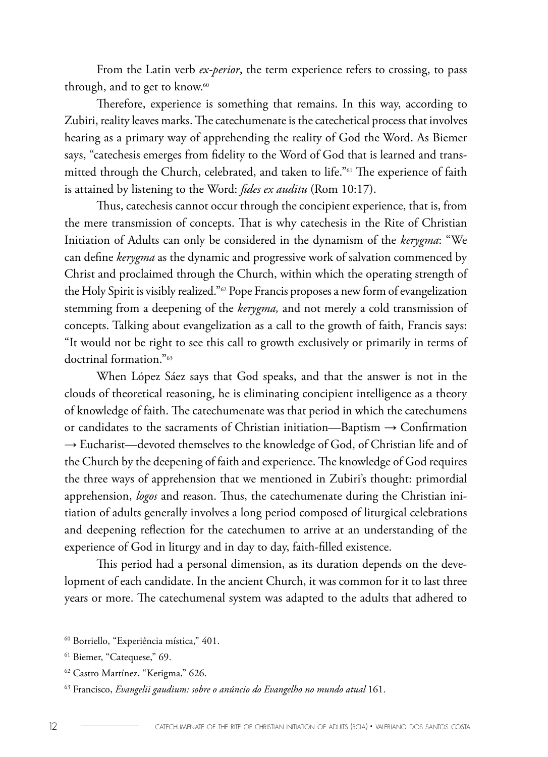From the Latin verb *ex-perior*, the term experience refers to crossing, to pass through, and to get to know.<sup>60</sup>

Therefore, experience is something that remains. In this way, according to Zubiri, reality leaves marks. The catechumenate is the catechetical process that involves hearing as a primary way of apprehending the reality of God the Word. As Biemer says, "catechesis emerges from fidelity to the Word of God that is learned and transmitted through the Church, celebrated, and taken to life."61 The experience of faith is attained by listening to the Word: *fides ex auditu* (Rom 10:17).

Thus, catechesis cannot occur through the concipient experience, that is, from the mere transmission of concepts. That is why catechesis in the Rite of Christian Initiation of Adults can only be considered in the dynamism of the *kerygma*: "We can define *kerygma* as the dynamic and progressive work of salvation commenced by Christ and proclaimed through the Church, within which the operating strength of the Holy Spirit is visibly realized."<sup>62</sup> Pope Francis proposes a new form of evangelization stemming from a deepening of the *kerygma,* and not merely a cold transmission of concepts. Talking about evangelization as a call to the growth of faith, Francis says: "It would not be right to see this call to growth exclusively or primarily in terms of doctrinal formation."63

When López Sáez says that God speaks, and that the answer is not in the clouds of theoretical reasoning, he is eliminating concipient intelligence as a theory of knowledge of faith. The catechumenate was that period in which the catechumens or candidates to the sacraments of Christian initiation—Baptism → Confirmation → Eucharist—devoted themselves to the knowledge of God, of Christian life and of the Church by the deepening of faith and experience. The knowledge of God requires the three ways of apprehension that we mentioned in Zubiri's thought: primordial apprehension, *logos* and reason. Thus, the catechumenate during the Christian initiation of adults generally involves a long period composed of liturgical celebrations and deepening reflection for the catechumen to arrive at an understanding of the experience of God in liturgy and in day to day, faith-filled existence.

This period had a personal dimension, as its duration depends on the development of each candidate. In the ancient Church, it was common for it to last three years or more. The catechumenal system was adapted to the adults that adhered to

<sup>60</sup> Borriello, "Experiência mística," 401.

<sup>61</sup> Biemer, "Catequese," 69.

<sup>62</sup> Castro Martínez, "Kerigma," 626.

<sup>63</sup> Francisco, *Evangelii gaudium: sobre o anúncio do Evangelho no mundo atual* 161.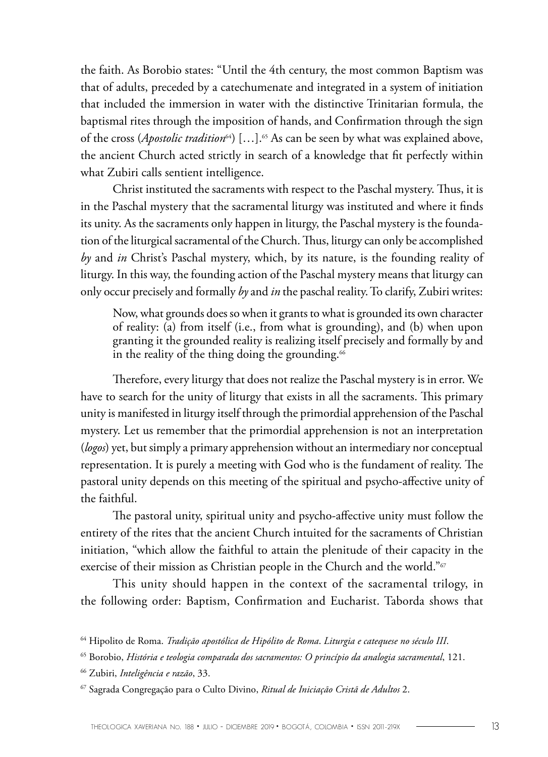the faith. As Borobio states: "Until the 4th century, the most common Baptism was that of adults, preceded by a catechumenate and integrated in a system of initiation that included the immersion in water with the distinctive Trinitarian formula, the baptismal rites through the imposition of hands, and Confirmation through the sign of the cross (*Apostolic tradition*64) […].65 As can be seen by what was explained above, the ancient Church acted strictly in search of a knowledge that fit perfectly within what Zubiri calls sentient intelligence.

Christ instituted the sacraments with respect to the Paschal mystery. Thus, it is in the Paschal mystery that the sacramental liturgy was instituted and where it finds its unity. As the sacraments only happen in liturgy, the Paschal mystery is the foundation of the liturgical sacramental of the Church. Thus, liturgy can only be accomplished *by* and *in* Christ's Paschal mystery, which, by its nature, is the founding reality of liturgy. In this way, the founding action of the Paschal mystery means that liturgy can only occur precisely and formally *by* and *in* the paschal reality. To clarify, Zubiri writes:

Now, what grounds does so when it grants to what is grounded its own character of reality: (a) from itself (i.e., from what is grounding), and (b) when upon granting it the grounded reality is realizing itself precisely and formally by and in the reality of the thing doing the grounding. $66$ 

Therefore, every liturgy that does not realize the Paschal mystery is in error. We have to search for the unity of liturgy that exists in all the sacraments. This primary unity is manifested in liturgy itself through the primordial apprehension of the Paschal mystery. Let us remember that the primordial apprehension is not an interpretation (*logos*) yet, but simply a primary apprehension without an intermediary nor conceptual representation. It is purely a meeting with God who is the fundament of reality. The pastoral unity depends on this meeting of the spiritual and psycho-affective unity of the faithful.

The pastoral unity, spiritual unity and psycho-affective unity must follow the entirety of the rites that the ancient Church intuited for the sacraments of Christian initiation, "which allow the faithful to attain the plenitude of their capacity in the exercise of their mission as Christian people in the Church and the world."<sup>67</sup>

This unity should happen in the context of the sacramental trilogy, in the following order: Baptism, Confirmation and Eucharist. Taborda shows that

<sup>64</sup> Hipolito de Roma. *Tradição apostólica de Hipólito de Roma*. *Liturgia e catequese no século III*.

<sup>65</sup> Borobio, *História e teologia comparada dos sacramentos: O princípio da analogia sacramental*, 121.

<sup>66</sup> Zubiri, *Inteligência e razão*, 33.

<sup>67</sup> Sagrada Congregação para o Culto Divino, *Ritual de Iniciação Cristã de Adultos* 2.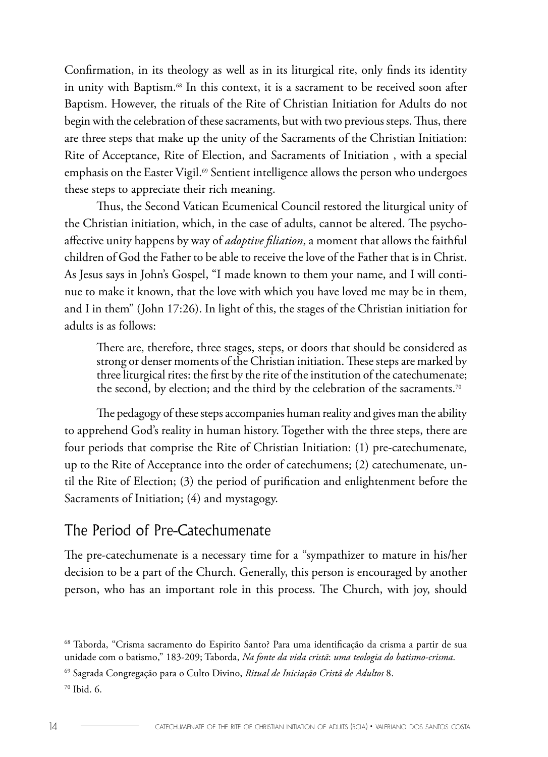Confirmation, in its theology as well as in its liturgical rite, only finds its identity in unity with Baptism.<sup>68</sup> In this context, it is a sacrament to be received soon after Baptism. However, the rituals of the Rite of Christian Initiation for Adults do not begin with the celebration of these sacraments, but with two previous steps. Thus, there are three steps that make up the unity of the Sacraments of the Christian Initiation: Rite of Acceptance, Rite of Election, and Sacraments of Initiation , with a special emphasis on the Easter Vigil.<sup> $\omega$ </sup> Sentient intelligence allows the person who undergoes these steps to appreciate their rich meaning.

Thus, the Second Vatican Ecumenical Council restored the liturgical unity of the Christian initiation, which, in the case of adults, cannot be altered. The psychoaffective unity happens by way of *adoptive filiation*, a moment that allows the faithful children of God the Father to be able to receive the love of the Father that is in Christ. As Jesus says in John's Gospel, "I made known to them your name, and I will continue to make it known, that the love with which you have loved me may be in them, and I in them" (John 17:26). In light of this, the stages of the Christian initiation for adults is as follows:

There are, therefore, three stages, steps, or doors that should be considered as strong or denser moments of the Christian initiation. These steps are marked by three liturgical rites: the first by the rite of the institution of the catechumenate; the second, by election; and the third by the celebration of the sacraments.<sup>70</sup>

The pedagogy of these steps accompanies human reality and gives man the ability to apprehend God's reality in human history. Together with the three steps, there are four periods that comprise the Rite of Christian Initiation: (1) pre-catechumenate, up to the Rite of Acceptance into the order of catechumens; (2) catechumenate, until the Rite of Election; (3) the period of purification and enlightenment before the Sacraments of Initiation; (4) and mystagogy.

#### The Period of Pre-Catechumenate

The pre-catechumenate is a necessary time for a "sympathizer to mature in his/her decision to be a part of the Church. Generally, this person is encouraged by another person, who has an important role in this process. The Church, with joy, should

<sup>68</sup> Taborda, "Crisma sacramento do Espirito Santo? Para uma identificação da crisma a partir de sua unidade com o batismo," 183-209; Taborda, *Na fonte da vida cristã*: *uma teologia do batismo-crisma*.

<sup>69</sup> Sagrada Congregação para o Culto Divino, *Ritual de Iniciação Cristã de Adultos* 8.

<sup>70</sup> Ibid. 6.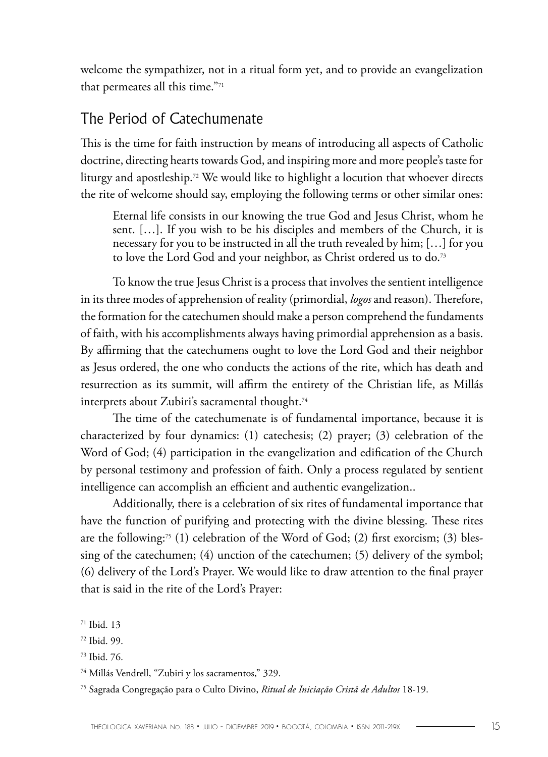welcome the sympathizer, not in a ritual form yet, and to provide an evangelization that permeates all this time."71

#### The Period of Catechumenate

This is the time for faith instruction by means of introducing all aspects of Catholic doctrine, directing hearts towards God, and inspiring more and more people's taste for liturgy and apostleship.72 We would like to highlight a locution that whoever directs the rite of welcome should say, employing the following terms or other similar ones:

Eternal life consists in our knowing the true God and Jesus Christ, whom he sent. […]. If you wish to be his disciples and members of the Church, it is necessary for you to be instructed in all the truth revealed by him; […] for you to love the Lord God and your neighbor, as Christ ordered us to do.<sup>73</sup>

To know the true Jesus Christ is a process that involves the sentient intelligence in its three modes of apprehension of reality (primordial, *logos* and reason). Therefore, the formation for the catechumen should make a person comprehend the fundaments of faith, with his accomplishments always having primordial apprehension as a basis. By affirming that the catechumens ought to love the Lord God and their neighbor as Jesus ordered, the one who conducts the actions of the rite, which has death and resurrection as its summit, will affirm the entirety of the Christian life, as Millás interprets about Zubiri's sacramental thought.<sup>74</sup>

The time of the catechumenate is of fundamental importance, because it is characterized by four dynamics: (1) catechesis; (2) prayer; (3) celebration of the Word of God; (4) participation in the evangelization and edification of the Church by personal testimony and profession of faith. Only a process regulated by sentient intelligence can accomplish an efficient and authentic evangelization..

Additionally, there is a celebration of six rites of fundamental importance that have the function of purifying and protecting with the divine blessing. These rites are the following:<sup>75</sup> (1) celebration of the Word of God; (2) first exorcism; (3) blessing of the catechumen; (4) unction of the catechumen; (5) delivery of the symbol; (6) delivery of the Lord's Prayer. We would like to draw attention to the final prayer that is said in the rite of the Lord's Prayer:

<sup>71</sup> Ibid. 13

<sup>72</sup> Ibid. 99.

<sup>73</sup> Ibid. 76.

<sup>74</sup> Millás Vendrell, "Zubiri y los sacramentos," 329.

<sup>75</sup> Sagrada Congregação para o Culto Divino, *Ritual de Iniciação Cristã de Adultos* 18-19.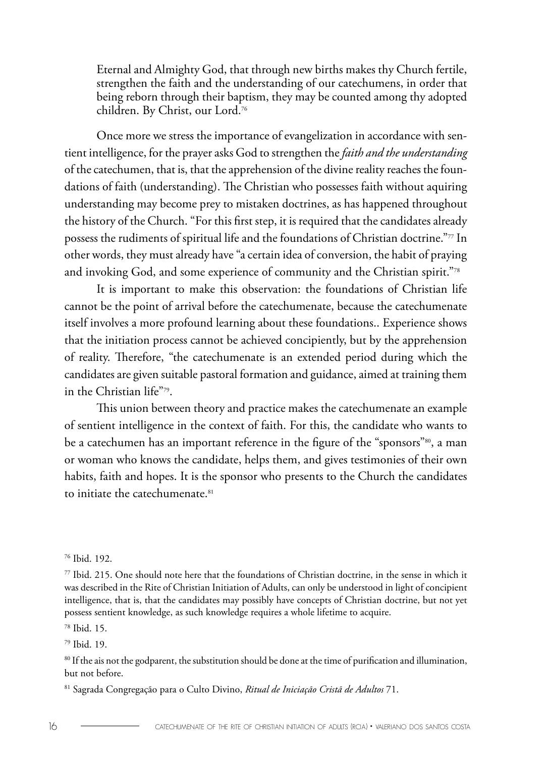Eternal and Almighty God, that through new births makes thy Church fertile, strengthen the faith and the understanding of our catechumens, in order that being reborn through their baptism, they may be counted among thy adopted children. By Christ, our Lord.76

Once more we stress the importance of evangelization in accordance with sentient intelligence, for the prayer asks God to strengthen the *faith and the understanding* of the catechumen, that is, that the apprehension of the divine reality reaches the foundations of faith (understanding). The Christian who possesses faith without aquiring understanding may become prey to mistaken doctrines, as has happened throughout the history of the Church. "For this first step, it is required that the candidates already possess the rudiments of spiritual life and the foundations of Christian doctrine."77 In other words, they must already have "a certain idea of conversion, the habit of praying and invoking God, and some experience of community and the Christian spirit."78

It is important to make this observation: the foundations of Christian life cannot be the point of arrival before the catechumenate, because the catechumenate itself involves a more profound learning about these foundations.. Experience shows that the initiation process cannot be achieved concipiently, but by the apprehension of reality. Therefore, "the catechumenate is an extended period during which the candidates are given suitable pastoral formation and guidance, aimed at training them in the Christian life"79.

This union between theory and practice makes the catechumenate an example of sentient intelligence in the context of faith. For this, the candidate who wants to be a catechumen has an important reference in the figure of the "sponsors"<sup>80</sup>, a man or woman who knows the candidate, helps them, and gives testimonies of their own habits, faith and hopes. It is the sponsor who presents to the Church the candidates to initiate the catechumenate.<sup>81</sup>

78 Ibid. 15.

79 Ibid. 19.

80 If the ais not the godparent, the substitution should be done at the time of purification and illumination, but not before.

81 Sagrada Congregação para o Culto Divino, *Ritual de Iniciação Cristã de Adultos* 71.

<sup>76</sup> Ibid. 192.

 $77$  Ibid. 215. One should note here that the foundations of Christian doctrine, in the sense in which it was described in the Rite of Christian Initiation of Adults, can only be understood in light of concipient intelligence, that is, that the candidates may possibly have concepts of Christian doctrine, but not yet possess sentient knowledge, as such knowledge requires a whole lifetime to acquire.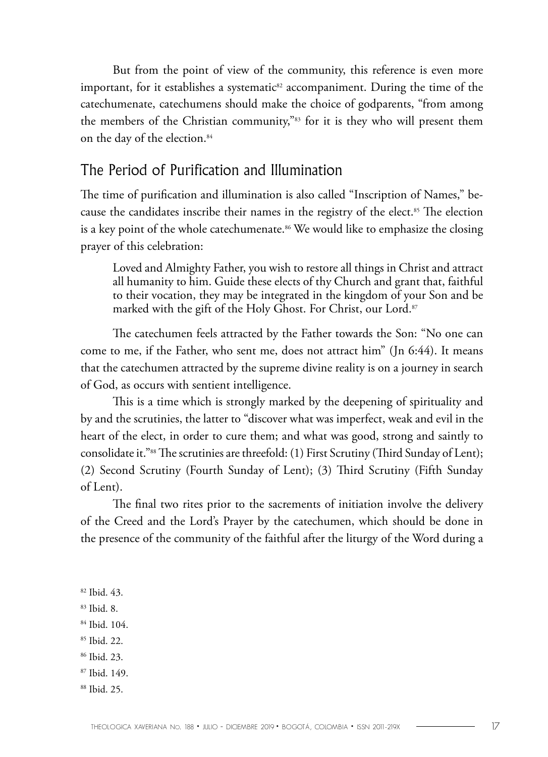But from the point of view of the community, this reference is even more important, for it establishes a systematic<sup>82</sup> accompaniment. During the time of the catechumenate, catechumens should make the choice of godparents, "from among the members of the Christian community,"83 for it is they who will present them on the day of the election.<sup>84</sup>

### The Period of Purification and Illumination

The time of purification and illumination is also called "Inscription of Names," because the candidates inscribe their names in the registry of the elect.<sup>85</sup> The election is a key point of the whole catechumenate.<sup>86</sup> We would like to emphasize the closing prayer of this celebration:

Loved and Almighty Father, you wish to restore all things in Christ and attract all humanity to him. Guide these elects of thy Church and grant that, faithful to their vocation, they may be integrated in the kingdom of your Son and be marked with the gift of the Holy Ghost. For Christ, our Lord.<sup>87</sup>

The catechumen feels attracted by the Father towards the Son: "No one can come to me, if the Father, who sent me, does not attract him" (Jn 6:44). It means that the catechumen attracted by the supreme divine reality is on a journey in search of God, as occurs with sentient intelligence.

This is a time which is strongly marked by the deepening of spirituality and by and the scrutinies, the latter to "discover what was imperfect, weak and evil in the heart of the elect, in order to cure them; and what was good, strong and saintly to consolidate it."88 The scrutinies are threefold: (1) First Scrutiny (Third Sunday of Lent); (2) Second Scrutiny (Fourth Sunday of Lent); (3) Third Scrutiny (Fifth Sunday of Lent).

The final two rites prior to the sacrements of initiation involve the delivery of the Creed and the Lord's Prayer by the catechumen, which should be done in the presence of the community of the faithful after the liturgy of the Word during a

82 Ibid. 43.

83 Ibid. 8.

84 Ibid. 104.

85 Ibid. 22.

86 Ibid. 23.

87 Ibid. 149.

88 Ibid. 25.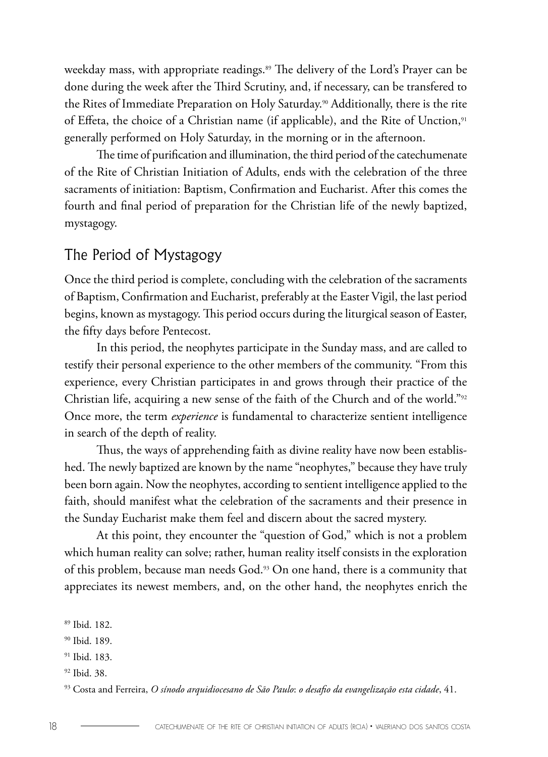weekday mass, with appropriate readings.<sup>89</sup> The delivery of the Lord's Prayer can be done during the week after the Third Scrutiny, and, if necessary, can be transfered to the Rites of Immediate Preparation on Holy Saturday.<sup>90</sup> Additionally, there is the rite of Effeta, the choice of a Christian name (if applicable), and the Rite of Unction,<sup>91</sup> generally performed on Holy Saturday, in the morning or in the afternoon.

The time of purification and illumination, the third period of the catechumenate of the Rite of Christian Initiation of Adults, ends with the celebration of the three sacraments of initiation: Baptism, Confirmation and Eucharist. After this comes the fourth and final period of preparation for the Christian life of the newly baptized, mystagogy.

#### The Period of Mystagogy

Once the third period is complete, concluding with the celebration of the sacraments of Baptism, Confirmation and Eucharist, preferably at the Easter Vigil, the last period begins, known as mystagogy. This period occurs during the liturgical season of Easter, the fifty days before Pentecost.

In this period, the neophytes participate in the Sunday mass, and are called to testify their personal experience to the other members of the community. "From this experience, every Christian participates in and grows through their practice of the Christian life, acquiring a new sense of the faith of the Church and of the world."92 Once more, the term *experience* is fundamental to characterize sentient intelligence in search of the depth of reality.

Thus, the ways of apprehending faith as divine reality have now been established. The newly baptized are known by the name "neophytes," because they have truly been born again. Now the neophytes, according to sentient intelligence applied to the faith, should manifest what the celebration of the sacraments and their presence in the Sunday Eucharist make them feel and discern about the sacred mystery.

At this point, they encounter the "question of God," which is not a problem which human reality can solve; rather, human reality itself consists in the exploration of this problem, because man needs God.93 On one hand, there is a community that appreciates its newest members, and, on the other hand, the neophytes enrich the

92 Ibid. 38.

<sup>89</sup> Ibid. 182.

<sup>90</sup> Ibid. 189.

<sup>91</sup> Ibid. 183.

<sup>93</sup> Costa and Ferreira, *O sínodo arquidiocesano de São Paulo*: *o desafio da evangelização esta cidade*, 41.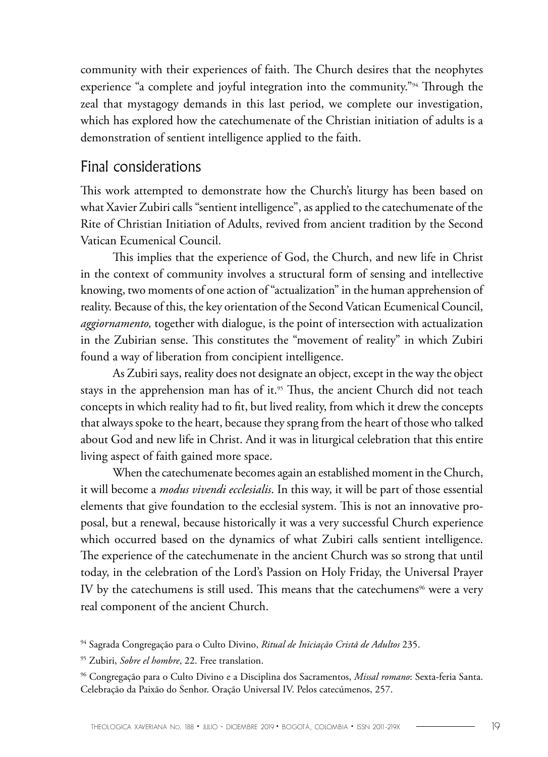community with their experiences of faith. The Church desires that the neophytes experience "a complete and joyful integration into the community."<sup>94</sup> Through the zeal that mystagogy demands in this last period, we complete our investigation, which has explored how the catechumenate of the Christian initiation of adults is a demonstration of sentient intelligence applied to the faith.

#### Final considerations

This work attempted to demonstrate how the Church's liturgy has been based on what Xavier Zubiri calls "sentient intelligence", as applied to the catechumenate of the Rite of Christian Initiation of Adults, revived from ancient tradition by the Second Vatican Ecumenical Council.

This implies that the experience of God, the Church, and new life in Christ in the context of community involves a structural form of sensing and intellective knowing, two moments of one action of "actualization" in the human apprehension of reality. Because of this, the key orientation of the Second Vatican Ecumenical Council, *aggiornamento,* together with dialogue, is the point of intersection with actualization in the Zubirian sense. This constitutes the "movement of reality" in which Zubiri found a way of liberation from concipient intelligence.

As Zubiri says, reality does not designate an object, except in the way the object stays in the apprehension man has of it.<sup>95</sup> Thus, the ancient Church did not teach concepts in which reality had to fit, but lived reality, from which it drew the concepts that always spoke to the heart, because they sprang from the heart of those who talked about God and new life in Christ. And it was in liturgical celebration that this entire living aspect of faith gained more space.

When the catechumenate becomes again an established moment in the Church, it will become a *modus vivendi ecclesialis*. In this way, it will be part of those essential elements that give foundation to the ecclesial system. This is not an innovative proposal, but a renewal, because historically it was a very successful Church experience which occurred based on the dynamics of what Zubiri calls sentient intelligence. The experience of the catechumenate in the ancient Church was so strong that until today, in the celebration of the Lord's Passion on Holy Friday, the Universal Prayer IV by the catechumens is still used. This means that the catechumens<sup>96</sup> were a very real component of the ancient Church.

<sup>94</sup> Sagrada Congregação para o Culto Divino, *Ritual de Iniciação Cristã de Adultos* 235.

<sup>95</sup> Zubiri, *Sobre el hombre*, 22. Free translation.

<sup>96</sup> Congregação para o Culto Divino e a Disciplina dos Sacramentos, *Missal romano*: Sexta-feria Santa. Celebração da Paixão do Senhor. Oração Universal IV. Pelos catecúmenos, 257.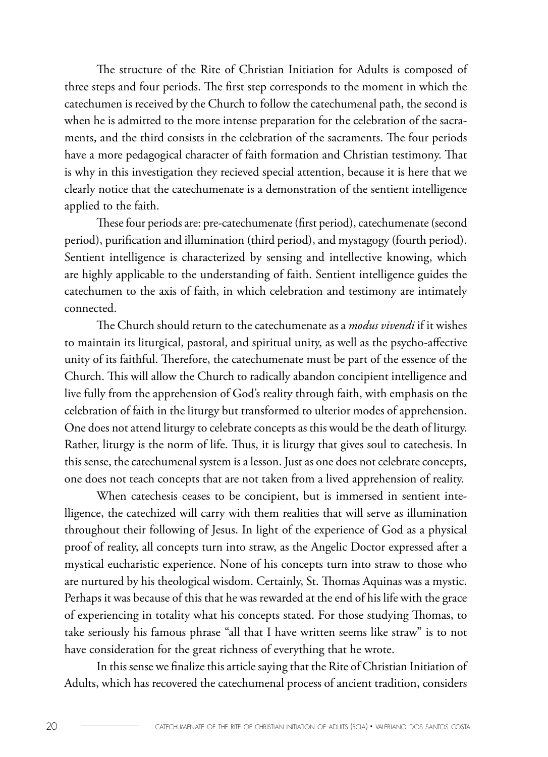The structure of the Rite of Christian Initiation for Adults is composed of three steps and four periods. The first step corresponds to the moment in which the catechumen is received by the Church to follow the catechumenal path, the second is when he is admitted to the more intense preparation for the celebration of the sacraments, and the third consists in the celebration of the sacraments. The four periods have a more pedagogical character of faith formation and Christian testimony. That is why in this investigation they recieved special attention, because it is here that we clearly notice that the catechumenate is a demonstration of the sentient intelligence applied to the faith.

These four periods are: pre-catechumenate (first period), catechumenate (second period), purification and illumination (third period), and mystagogy (fourth period). Sentient intelligence is characterized by sensing and intellective knowing, which are highly applicable to the understanding of faith. Sentient intelligence guides the catechumen to the axis of faith, in which celebration and testimony are intimately connected.

The Church should return to the catechumenate as a *modus vivendi* if it wishes to maintain its liturgical, pastoral, and spiritual unity, as well as the psycho-affective unity of its faithful. Therefore, the catechumenate must be part of the essence of the Church. This will allow the Church to radically abandon concipient intelligence and live fully from the apprehension of God's reality through faith, with emphasis on the celebration of faith in the liturgy but transformed to ulterior modes of apprehension. One does not attend liturgy to celebrate concepts as this would be the death of liturgy. Rather, liturgy is the norm of life. Thus, it is liturgy that gives soul to catechesis. In this sense, the catechumenal system is a lesson. Just as one does not celebrate concepts, one does not teach concepts that are not taken from a lived apprehension of reality.

When catechesis ceases to be concipient, but is immersed in sentient intelligence, the catechized will carry with them realities that will serve as illumination throughout their following of Jesus. In light of the experience of God as a physical proof of reality, all concepts turn into straw, as the Angelic Doctor expressed after a mystical eucharistic experience. None of his concepts turn into straw to those who are nurtured by his theological wisdom. Certainly, St. Thomas Aquinas was a mystic. Perhaps it was because of this that he was rewarded at the end of his life with the grace of experiencing in totality what his concepts stated. For those studying Thomas, to take seriously his famous phrase "all that I have written seems like straw" is to not have consideration for the great richness of everything that he wrote.

In this sense we finalize this article saying that the Rite of Christian Initiation of Adults, which has recovered the catechumenal process of ancient tradition, considers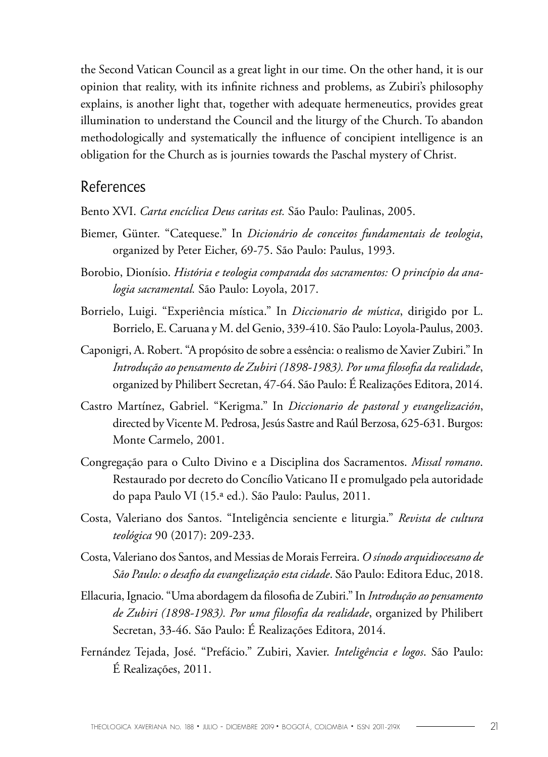the Second Vatican Council as a great light in our time. On the other hand, it is our opinion that reality, with its infinite richness and problems, as Zubiri's philosophy explains, is another light that, together with adequate hermeneutics, provides great illumination to understand the Council and the liturgy of the Church. To abandon methodologically and systematically the influence of concipient intelligence is an obligation for the Church as is journies towards the Paschal mystery of Christ.

#### References

Bento XVI. *Carta encíclica Deus caritas est.* São Paulo: Paulinas, 2005.

- Biemer, Günter. "Catequese." In *Dicionário de conceitos fundamentais de teologia*, organized by Peter Eicher, 69-75. São Paulo: Paulus, 1993.
- Borobio, Dionísio. *História e teologia comparada dos sacramentos: O princípio da analogia sacramental.* São Paulo: Loyola, 2017.
- Borrielo, Luigi. "Experiência mística." In *Diccionario de m*í*stica*, dirigido por L. Borrielo, E. Caruana y M. del Genio, 339-410. São Paulo: Loyola-Paulus, 2003.
- Caponigri, A. Robert. "A propósito de sobre a essência: o realismo de Xavier Zubiri." In *Introdução ao pensamento de Zubiri (1898-1983). Por uma filosofia da realidade*, organized by Philibert Secretan, 47-64. São Paulo: É Realizações Editora, 2014.
- Castro Martínez, Gabriel. "Kerigma." In *Diccionario de pastoral y evangelización*, directed by Vicente M. Pedrosa, Jesús Sastre and Raúl Berzosa, 625-631. Burgos: Monte Carmelo, 2001.
- Congregação para o Culto Divino e a Disciplina dos Sacramentos. *Missal romano*. Restaurado por decreto do Concílio Vaticano II e promulgado pela autoridade do papa Paulo VI (15.ª ed.). São Paulo: Paulus, 2011.
- Costa, Valeriano dos Santos. "Inteligência senciente e liturgia." *Revista de cultura teológica* 90 (2017): 209-233.
- Costa, Valeriano dos Santos, and Messias de Morais Ferreira. *O sínodo arquidiocesano de São Paulo: o desafio da evangelização esta cidade*. São Paulo: Editora Educ, 2018.
- Ellacuria, Ignacio. "Uma abordagem da filosofia de Zubiri." In *Introdução ao pensamento de Zubiri (1898-1983). Por uma filosofia da realidade*, organized by Philibert Secretan, 33-46. São Paulo: É Realizações Editora, 2014.
- Fernández Tejada, José. "Prefácio." Zubiri, Xavier. *Inteligência e logos*. São Paulo: É Realizações, 2011.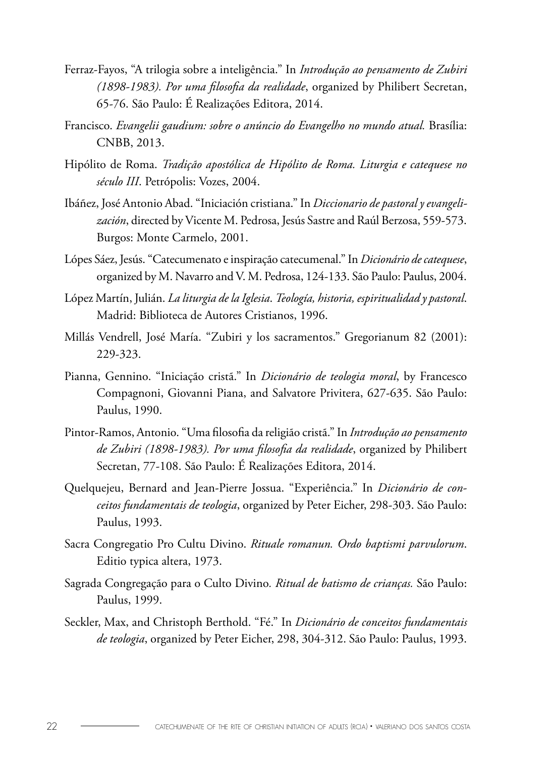- Ferraz-Fayos, "A trilogia sobre a inteligência." In *Introdução ao pensamento de Zubiri (1898-1983). Por uma filosofia da realidade*, organized by Philibert Secretan, 65-76. São Paulo: É Realizações Editora, 2014.
- Francisco. *Evangelii gaudium: sobre o anúncio do Evangelho no mundo atual.* Brasília: CNBB, 2013.
- Hipólito de Roma. *Tradição apostólica de Hipólito de Roma. Liturgia e catequese no século III*. Petrópolis: Vozes, 2004.
- Ibáñez, José Antonio Abad. "Iniciación cristiana." In *Diccionario de pastoral y evangelización*, directed by Vicente M. Pedrosa, Jesús Sastre and Raúl Berzosa, 559-573. Burgos: Monte Carmelo, 2001.
- Lópes Sáez, Jesús. "Catecumenato e inspiração catecumenal." In *Dicionário de catequese*, organized by M. Navarro and V. M. Pedrosa, 124-133. São Paulo: Paulus, 2004.
- López Martín, Julián. *La liturgia de la Iglesia*. *Teología, historia, espiritualidad y pastoral*. Madrid: Biblioteca de Autores Cristianos, 1996.
- Millás Vendrell, José María. "Zubiri y los sacramentos." Gregorianum 82 (2001): 229-323.
- Pianna, Gennino. "Iniciação cristã." In *Dicionário de teologia moral*, by Francesco Compagnoni, Giovanni Piana, and Salvatore Privitera, 627-635. São Paulo: Paulus, 1990.
- Pintor-Ramos, Antonio. "Uma filosofia da religião cristã." In *Introdução ao pensamento de Zubiri (1898-1983). Por uma filosofia da realidade*, organized by Philibert Secretan, 77-108. São Paulo: É Realizações Editora, 2014.
- Quelquejeu, Bernard and Jean-Pierre Jossua. "Experiência." In *Dicionário de conceitos fundamentais de teologia*, organized by Peter Eicher, 298-303. São Paulo: Paulus, 1993.
- Sacra Congregatio Pro Cultu Divino. *Rituale romanun. Ordo baptismi parvulorum*. Editio typica altera, 1973.
- Sagrada Congregação para o Culto Divino*. Ritual de batismo de crianças.* São Paulo: Paulus, 1999.
- Seckler, Max, and Christoph Berthold. "Fé." In *Dicionário de conceitos fundamentais de teologia*, organized by Peter Eicher, 298, 304-312. São Paulo: Paulus, 1993.